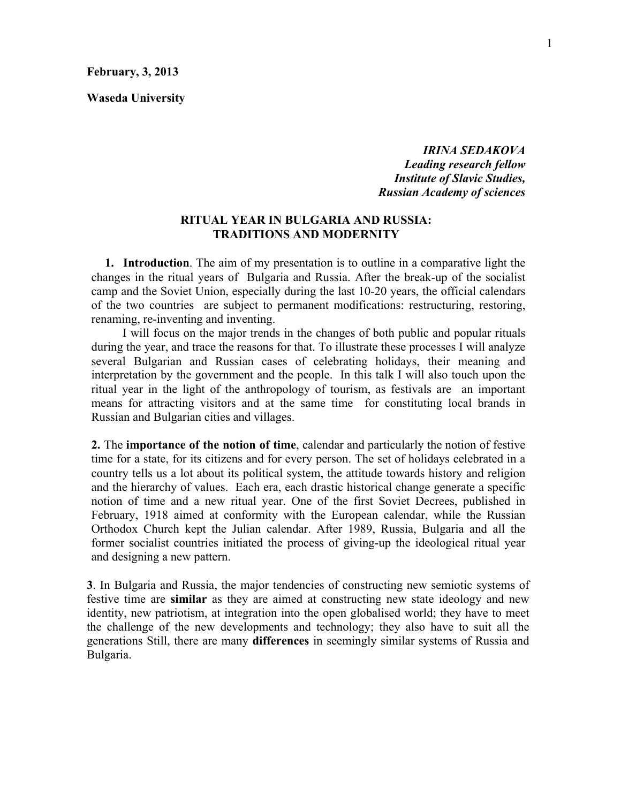**Waseda University**

*IRINA SEDAKOVA Leading research fellow Institute of Slavic Studies, Russian Academy of sciences*

#### **RITUAL YEAR IN BULGARIA AND RUSSIA: TRADITIONS AND MODERNITY**

**1. Introduction**. The aim of my presentation is to outline in a comparative light the changes in the ritual years of Bulgaria and Russia. After the break-up of the socialist camp and the Soviet Union, especially during the last 10-20 years, the official calendars of the two countries are subject to permanent modifications: restructuring, restoring, renaming, re-inventing and inventing.

I will focus on the major trends in the changes of both public and popular rituals during the year, and trace the reasons for that. To illustrate these processes I will analyze several Bulgarian and Russian cases of celebrating holidays, their meaning and interpretation by the government and the people. In this talk I will also touch upon the ritual year in the light of the anthropology of tourism, as festivals are an important means for attracting visitors and at the same time for constituting local brands in Russian and Bulgarian cities and villages.

**2.** The **importance of the notion of time**, calendar and particularly the notion of festive time for a state, for its citizens and for every person. The set of holidays celebrated in a country tells us a lot about its political system, the attitude towards history and religion and the hierarchy of values. Each era, each drastic historical change generate a specific notion of time and a new ritual year. One of the first Soviet Decrees, published in February, 1918 aimed at conformity with the European calendar, while the Russian Orthodox Church kept the Julian calendar. After 1989, Russia, Bulgaria and all the former socialist countries initiated the process of giving-up the ideological ritual year and designing a new pattern.

**3**. In Bulgaria and Russia, the major tendencies of constructing new semiotic systems of festive time are **similar** as they are aimed at constructing new state ideology and new identity, new patriotism, at integration into the open globalised world; they have to meet the challenge of the new developments and technology; they also have to suit all the generations Still, there are many **differences** in seemingly similar systems of Russia and Bulgaria.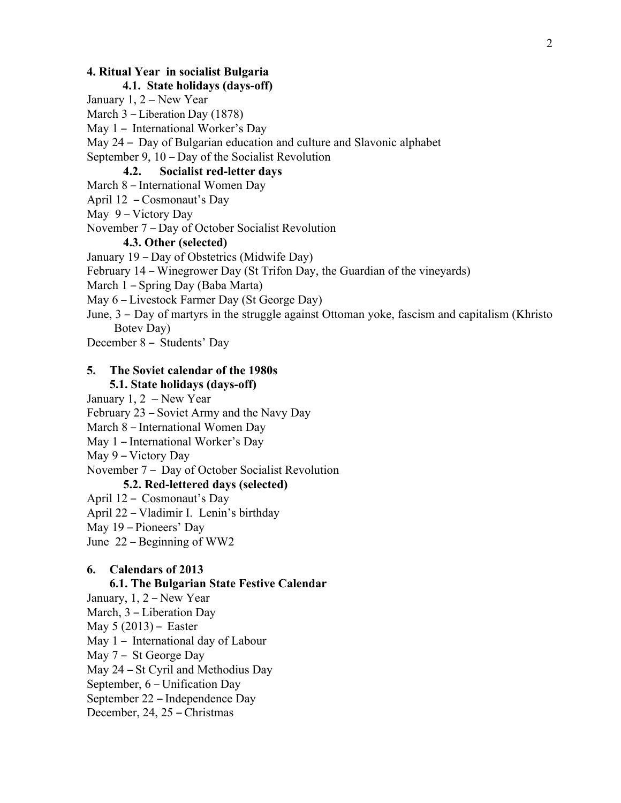#### **4. Ritual Year in socialist Bulgaria**

### **4.1. State holidays (days-off)**

January 1, 2 – New Year

March 3 – Liberation Day (1878)

May 1 – International Worker's Day

May 24 – Day of Bulgarian education and culture and Slavonic alphabet

September 9, 10 – Day of the Socialist Revolution

## **4.2. Socialist red-letter days**

March 8 – International Women Day

April 12 – Cosmonaut's Day

May 9 – Victory Day

November 7 – Day of October Socialist Revolution

#### **4.3. Other (selected)**

January 19 – Day of Obstetrics (Midwife Day)

February 14 – Winegrower Day (St Trifon Day, the Guardian of the vineyards)

March 1 – Spring Day (Baba Marta)

May 6 – Livestock Farmer Day (St George Day)

June, 3 – Day of martyrs in the struggle against Ottoman yoke, fascism and capitalism (Khristo Botev Day)

December 8 – Students' Day

# **5. The Soviet calendar of the 1980s**

## **5.1. State holidays (days-off)**

January 1, 2 – New Year

February 23 – Soviet Army and the Navy Day

March 8 – International Women Day

May 1 – International Worker's Day

May 9 – Victory Day

November 7 – Day of October Socialist Revolution

## **5.2. Red-lettered days (selected)**

April 12 – Cosmonaut's Day

April 22 – Vladimir I. Lenin's birthday

May 19 – Pioneers' Day

June 22 – Beginning of WW2

### **6. Calendars of 2013**

#### **6.1. The Bulgarian State Festive Calendar**

January, 1, 2 – New Year

March, 3 – Liberation Day

May 5 (2013) – Easter

May 1 – International day of Labour

May 7 – St George Day

May 24 – St Cyril and Methodius Day

September, 6 – Unification Day

September 22 – Independence Day

December, 24, 25 – Christmas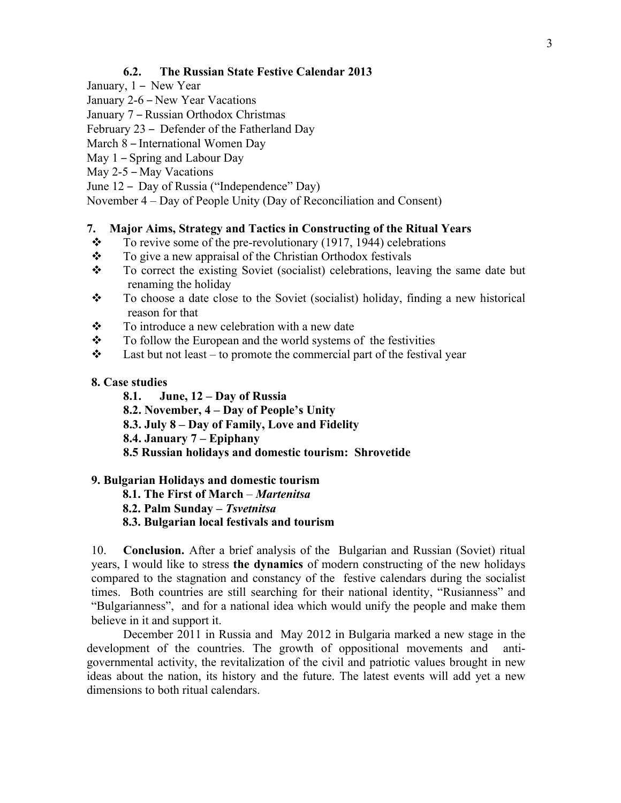## **6.2. The Russian State Festive Calendar 2013**

- January, 1 New Year
- January 2-6 New Year Vacations
- January 7 Russian Orthodox Christmas
- February 23 Defender of the Fatherland Day
- March 8 International Women Day
- May 1 Spring and Labour Day
- May 2-5 May Vacations
- June 12 Day of Russia ("Independence" Day)
- November 4 Day of People Unity (Day of Reconciliation and Consent)

### **7. Major Aims, Strategy and Tactics in Constructing of the Ritual Years**

- $\cdot \cdot$  To revive some of the pre-revolutionary (1917, 1944) celebrations
- $\mathbf{\hat{P}}$  To give a new appraisal of the Christian Orthodox festivals
- \* To correct the existing Soviet (socialist) celebrations, leaving the same date but renaming the holiday
- \* To choose a date close to the Soviet (socialist) holiday, finding a new historical reason for that
- $\mathbf{\hat{P}}$  To introduce a new celebration with a new date
- $\div$  To follow the European and the world systems of the festivities
- $\cdot \cdot$  Last but not least to promote the commercial part of the festival year

#### **8. Case studies**

- **8.1. June, 12 – Day of Russia**
- **8.2. November, 4 – Day of People's Unity**
- **8.3. July 8 – Day of Family, Love and Fidelity**
- **8.4. January 7 – Epiphany**
- **8.5 Russian holidays and domestic tourism: Shrovetide**

#### **9. Bulgarian Holidays and domestic tourism**

- **8.1. The First of March** *Martenitsa*
- **8.2. Palm Sunday –** *Tsvetnitsa*
- **8.3. Bulgarian local festivals and tourism**

10. **Conclusion.** After a brief analysis of the Bulgarian and Russian (Soviet) ritual years, I would like to stress **the dynamics** of modern constructing of the new holidays compared to the stagnation and constancy of the festive calendars during the socialist times. Both countries are still searching for their national identity, "Rusianness" and "Bulgarianness", and for a national idea which would unify the people and make them believe in it and support it.

December 2011 in Russia and May 2012 in Bulgaria marked a new stage in the development of the countries. The growth of oppositional movements and antigovernmental activity, the revitalization of the civil and patriotic values brought in new ideas about the nation, its history and the future. The latest events will add yet a new dimensions to both ritual calendars.